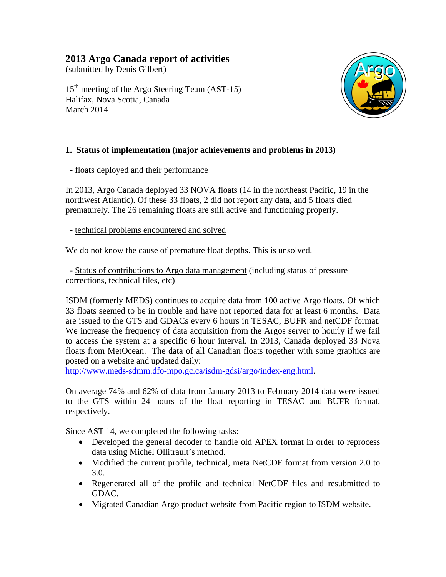# **2013 Argo Canada report of activities**

(submitted by Denis Gilbert)

15th meeting of the Argo Steering Team (AST-15) Halifax, Nova Scotia, Canada March 2014



## **1. Status of implementation (major achievements and problems in 2013)**

- floats deployed and their performance

In 2013, Argo Canada deployed 33 NOVA floats (14 in the northeast Pacific, 19 in the northwest Atlantic). Of these 33 floats, 2 did not report any data, and 5 floats died prematurely. The 26 remaining floats are still active and functioning properly.

- technical problems encountered and solved

We do not know the cause of premature float depths. This is unsolved.

 - Status of contributions to Argo data management (including status of pressure corrections, technical files, etc)

ISDM (formerly MEDS) continues to acquire data from 100 active Argo floats. Of which 33 floats seemed to be in trouble and have not reported data for at least 6 months. Data are issued to the GTS and GDACs every 6 hours in TESAC, BUFR and netCDF format. We increase the frequency of data acquisition from the Argos server to hourly if we fail to access the system at a specific 6 hour interval. In 2013, Canada deployed 33 Nova floats from MetOcean. The data of all Canadian floats together with some graphics are posted on a website and updated daily:

http://www.meds-sdmm.dfo-mpo.gc.ca/isdm-gdsi/argo/index-eng.html.

On average 74% and 62% of data from January 2013 to February 2014 data were issued to the GTS within 24 hours of the float reporting in TESAC and BUFR format, respectively.

Since AST 14, we completed the following tasks:

- Developed the general decoder to handle old APEX format in order to reprocess data using Michel Ollitrault's method.
- Modified the current profile, technical, meta NetCDF format from version 2.0 to 3.0.
- Regenerated all of the profile and technical NetCDF files and resubmitted to GDAC.
- Migrated Canadian Argo product website from Pacific region to ISDM website.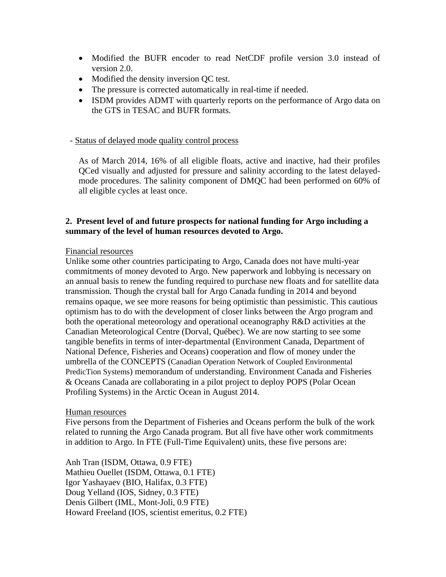- Modified the BUFR encoder to read NetCDF profile version 3.0 instead of version 2.0.
- Modified the density inversion QC test.
- The pressure is corrected automatically in real-time if needed.
- ISDM provides ADMT with quarterly reports on the performance of Argo data on the GTS in TESAC and BUFR formats.

## - Status of delayed mode quality control process

As of March 2014, 16% of all eligible floats, active and inactive, had their profiles QCed visually and adjusted for pressure and salinity according to the latest delayedmode procedures. The salinity component of DMQC had been performed on 60% of all eligible cycles at least once.

## **2. Present level of and future prospects for national funding for Argo including a summary of the level of human resources devoted to Argo.**

#### Financial resources

Unlike some other countries participating to Argo, Canada does not have multi-year commitments of money devoted to Argo. New paperwork and lobbying is necessary on an annual basis to renew the funding required to purchase new floats and for satellite data transmission. Though the crystal ball for Argo Canada funding in 2014 and beyond remains opaque, we see more reasons for being optimistic than pessimistic. This cautious optimism has to do with the development of closer links between the Argo program and both the operational meteorology and operational oceanography R&D activities at the Canadian Meteorological Centre (Dorval, Québec). We are now starting to see some tangible benefits in terms of inter-departmental (Environment Canada, Department of National Defence, Fisheries and Oceans) cooperation and flow of money under the umbrella of the CONCEPTS (Canadian Operation Network of Coupled Environmental PredicTion Systems) memorandum of understanding. Environment Canada and Fisheries & Oceans Canada are collaborating in a pilot project to deploy POPS (Polar Ocean Profiling Systems) in the Arctic Ocean in August 2014.

#### Human resources

Five persons from the Department of Fisheries and Oceans perform the bulk of the work related to running the Argo Canada program. But all five have other work commitments in addition to Argo. In FTE (Full-Time Equivalent) units, these five persons are:

Anh Tran (ISDM, Ottawa, 0.9 FTE) Mathieu Ouellet (ISDM, Ottawa, 0.1 FTE) Igor Yashayaev (BIO, Halifax, 0.3 FTE) Doug Yelland (IOS, Sidney, 0.3 FTE) Denis Gilbert (IML, Mont-Joli, 0.9 FTE) Howard Freeland (IOS, scientist emeritus, 0.2 FTE)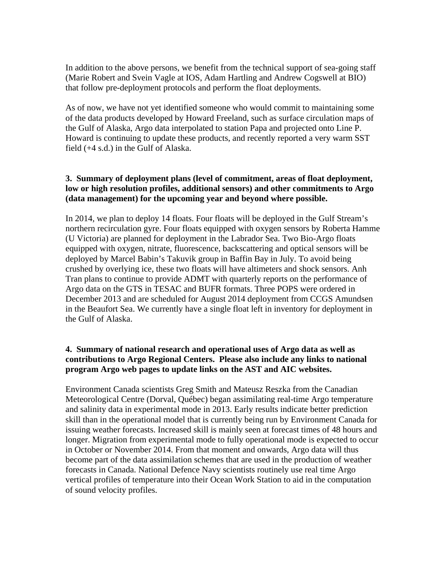In addition to the above persons, we benefit from the technical support of sea-going staff (Marie Robert and Svein Vagle at IOS, Adam Hartling and Andrew Cogswell at BIO) that follow pre-deployment protocols and perform the float deployments.

As of now, we have not yet identified someone who would commit to maintaining some of the data products developed by Howard Freeland, such as surface circulation maps of the Gulf of Alaska, Argo data interpolated to station Papa and projected onto Line P. Howard is continuing to update these products, and recently reported a very warm SST field (+4 s.d.) in the Gulf of Alaska.

## **3. Summary of deployment plans (level of commitment, areas of float deployment, low or high resolution profiles, additional sensors) and other commitments to Argo (data management) for the upcoming year and beyond where possible.**

In 2014, we plan to deploy 14 floats. Four floats will be deployed in the Gulf Stream's northern recirculation gyre. Four floats equipped with oxygen sensors by Roberta Hamme (U Victoria) are planned for deployment in the Labrador Sea. Two Bio-Argo floats equipped with oxygen, nitrate, fluorescence, backscattering and optical sensors will be deployed by Marcel Babin's Takuvik group in Baffin Bay in July. To avoid being crushed by overlying ice, these two floats will have altimeters and shock sensors. Anh Tran plans to continue to provide ADMT with quarterly reports on the performance of Argo data on the GTS in TESAC and BUFR formats. Three POPS were ordered in December 2013 and are scheduled for August 2014 deployment from CCGS Amundsen in the Beaufort Sea. We currently have a single float left in inventory for deployment in the Gulf of Alaska.

## **4. Summary of national research and operational uses of Argo data as well as contributions to Argo Regional Centers. Please also include any links to national program Argo web pages to update links on the AST and AIC websites.**

Environment Canada scientists Greg Smith and Mateusz Reszka from the Canadian Meteorological Centre (Dorval, Québec) began assimilating real-time Argo temperature and salinity data in experimental mode in 2013. Early results indicate better prediction skill than in the operational model that is currently being run by Environment Canada for issuing weather forecasts. Increased skill is mainly seen at forecast times of 48 hours and longer. Migration from experimental mode to fully operational mode is expected to occur in October or November 2014. From that moment and onwards, Argo data will thus become part of the data assimilation schemes that are used in the production of weather forecasts in Canada. National Defence Navy scientists routinely use real time Argo vertical profiles of temperature into their Ocean Work Station to aid in the computation of sound velocity profiles.